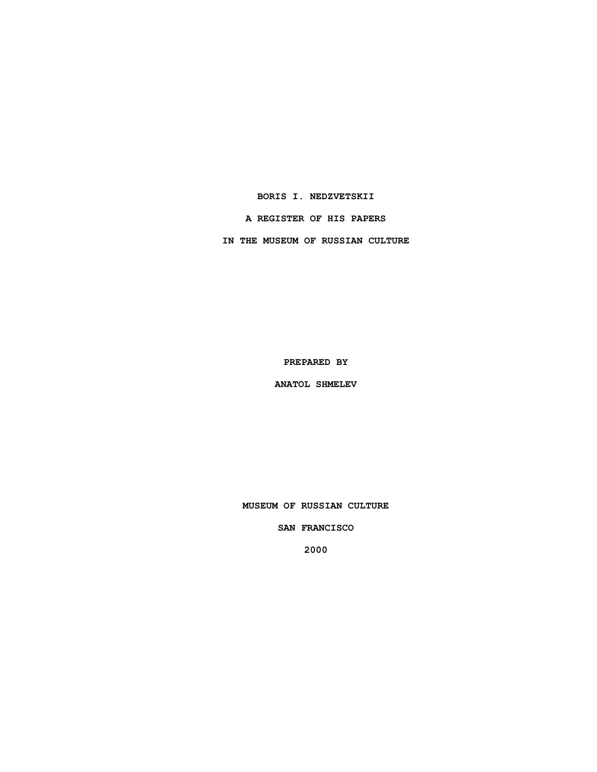**BORIS I. NEDZVETSKII**

**A REGISTER OF HIS PAPERS**

**IN THE MUSEUM OF RUSSIAN CULTURE**

**PREPARED BY**

**ANATOL SHMELEV**

**MUSEUM OF RUSSIAN CULTURE**

**SAN FRANCISCO**

**2000**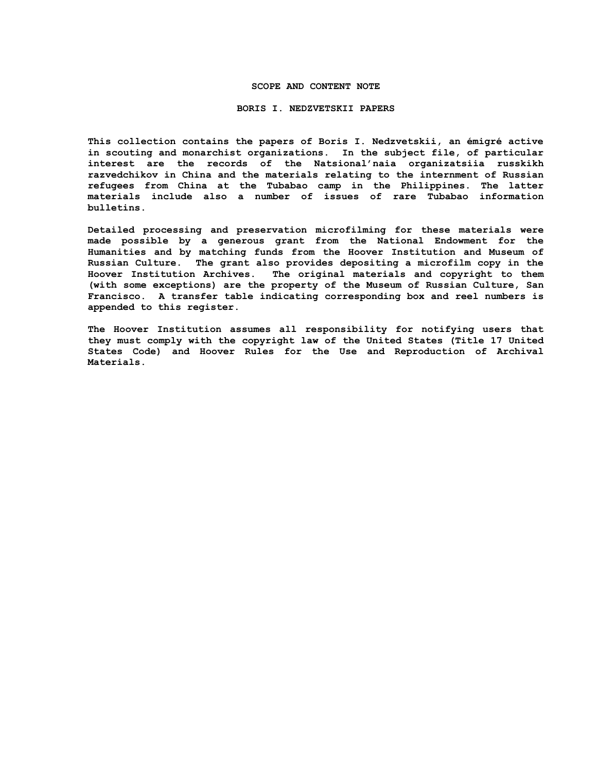### **SCOPE AND CONTENT NOTE**

#### **BORIS I. NEDZVETSKII PAPERS**

**This collection contains the papers of Boris I. Nedzvetskii, an émigré active in scouting and monarchist organizations. In the subject file, of particular interest are the records of the Natsional'naia organizatsiia russkikh razvedchikov in China and the materials relating to the internment of Russian refugees from China at the Tubabao camp in the Philippines. The latter materials include also a number of issues of rare Tubabao information bulletins.** 

**Detailed processing and preservation microfilming for these materials were made possible by a generous grant from the National Endowment for the Humanities and by matching funds from the Hoover Institution and Museum of Russian Culture. The grant also provides depositing a microfilm copy in the Hoover Institution Archives. The original materials and copyright to them (with some exceptions) are the property of the Museum of Russian Culture, San Francisco. A transfer table indicating corresponding box and reel numbers is appended to this register.**

**The Hoover Institution assumes all responsibility for notifying users that they must comply with the copyright law of the United States (Title 17 United States Code) and Hoover Rules for the Use and Reproduction of Archival Materials.**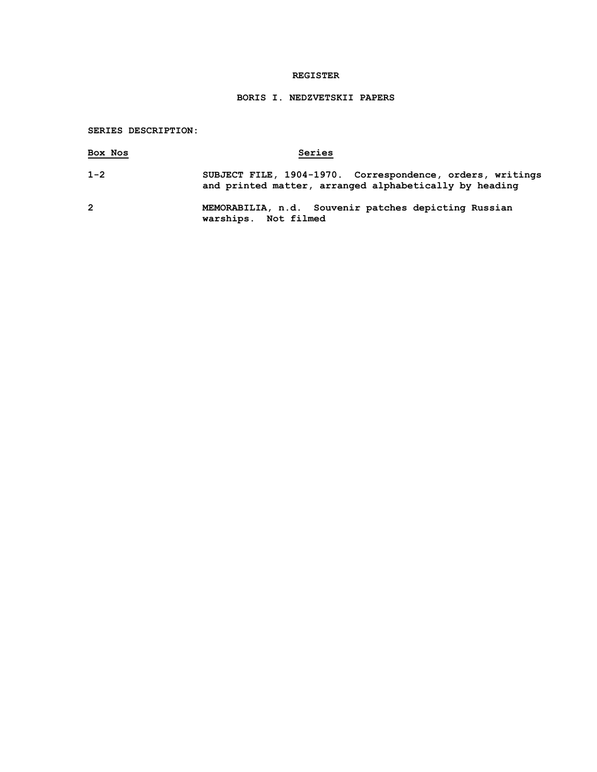## **REGISTER**

# **BORIS I. NEDZVETSKII PAPERS**

## **SERIES DESCRIPTION:**

| Box Nos        | Series                                                                                                              |
|----------------|---------------------------------------------------------------------------------------------------------------------|
| $1 - 2$        | SUBJECT FILE, 1904-1970. Correspondence, orders, writings<br>and printed matter, arranged alphabetically by heading |
| $\overline{2}$ | MEMORABILIA, n.d. Souvenir patches depicting Russian<br>warships. Not filmed                                        |